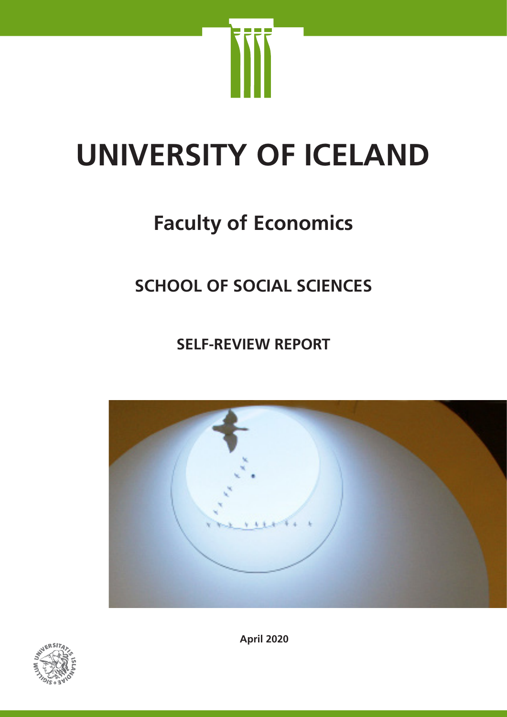

# **UNIVERSITY OF ICELAND**

# **Faculty of Economics**

# **SCHOOL OF SOCIAL SCIENCES**

**SELF-REVIEW REPORT**





**April 2020**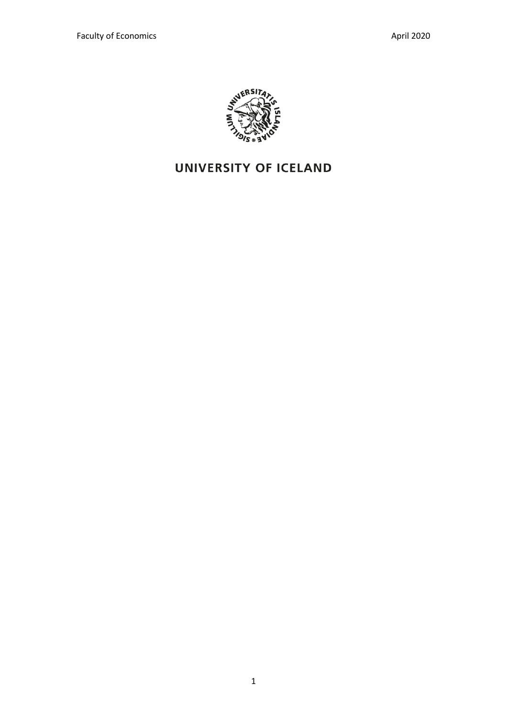

# **UNIVERSITY OF ICELAND**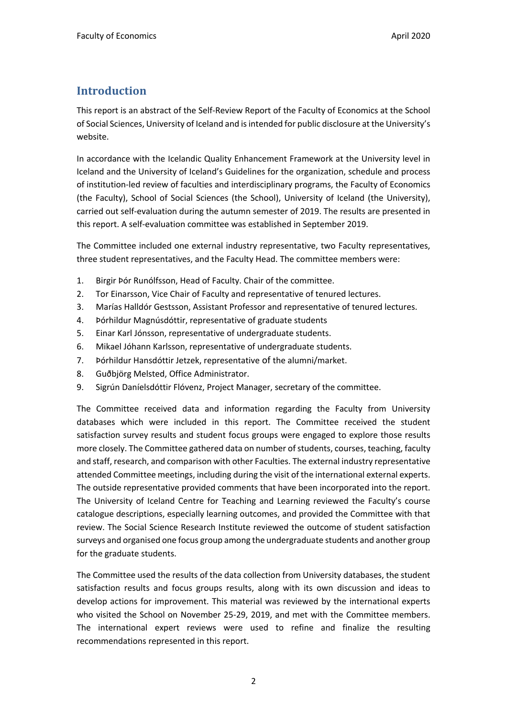### **Introduction**

This report is an abstract of the Self-Review Report of the Faculty of Economics at the School of Social Sciences, University of Iceland and is intended for public disclosure at the University's website.

In accordance with the Icelandic Quality Enhancement Framework at the University level in Iceland and the University of Iceland's Guidelines for the organization, schedule and process of institution-led review of faculties and interdisciplinary programs, the Faculty of Economics (the Faculty), School of Social Sciences (the School), University of Iceland (the University), carried out self-evaluation during the autumn semester of 2019. The results are presented in this report. A self-evaluation committee was established in September 2019.

The Committee included one external industry representative, two Faculty representatives, three student representatives, and the Faculty Head. The committee members were:

- 1. Birgir Þór Runólfsson, Head of Faculty. Chair of the committee.
- 2. Tor Einarsson, Vice Chair of Faculty and representative of tenured lectures.
- 3. Marías Halldór Gestsson, Assistant Professor and representative of tenured lectures.
- 4. Þórhildur Magnúsdóttir, representative of graduate students
- 5. Einar Karl Jónsson, representative of undergraduate students.
- 6. Mikael Jóhann Karlsson, representative of undergraduate students.
- 7. Þórhildur Hansdóttir Jetzek, representative of the alumni/market.
- 8. Guðbjörg Melsted, Office Administrator.
- 9. Sigrún Daníelsdóttir Flóvenz, Project Manager, secretary of the committee.

The Committee received data and information regarding the Faculty from University databases which were included in this report. The Committee received the student satisfaction survey results and student focus groups were engaged to explore those results more closely. The Committee gathered data on number of students, courses, teaching, faculty and staff, research, and comparison with other Faculties. The external industry representative attended Committee meetings, including during the visit of the international external experts. The outside representative provided comments that have been incorporated into the report. The University of Iceland Centre for Teaching and Learning reviewed the Faculty's course catalogue descriptions, especially learning outcomes, and provided the Committee with that review. The Social Science Research Institute reviewed the outcome of student satisfaction surveys and organised one focus group among the undergraduate students and another group for the graduate students.

The Committee used the results of the data collection from University databases, the student satisfaction results and focus groups results, along with its own discussion and ideas to develop actions for improvement. This material was reviewed by the international experts who visited the School on November 25-29, 2019, and met with the Committee members. The international expert reviews were used to refine and finalize the resulting recommendations represented in this report.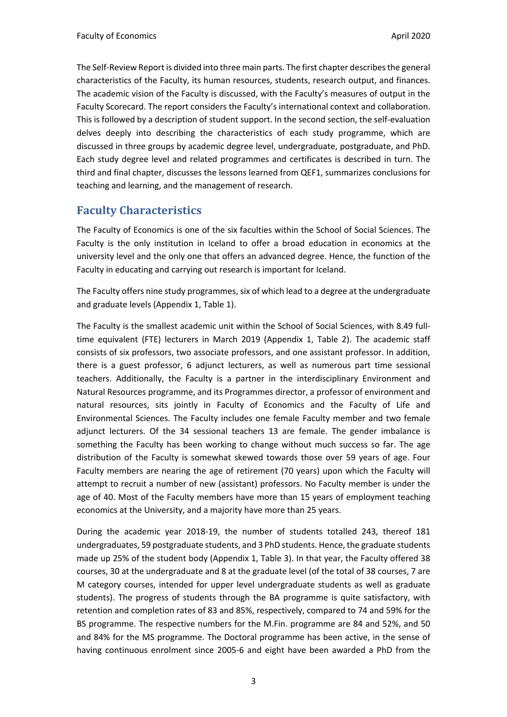The Self-Review Report is divided into three main parts. The first chapter describes the general characteristics of the Faculty, its human resources, students, research output, and finances. The academic vision of the Faculty is discussed, with the Faculty's measures of output in the Faculty Scorecard. The report considers the Faculty's international context and collaboration. This is followed by a description of student support. In the second section, the self-evaluation delves deeply into describing the characteristics of each study programme, which are discussed in three groups by academic degree level, undergraduate, postgraduate, and PhD. Each study degree level and related programmes and certificates is described in turn. The third and final chapter, discusses the lessons learned from QEF1, summarizes conclusions for teaching and learning, and the management of research.

#### **Faculty Characteristics**

The Faculty of Economics is one of the six faculties within the School of Social Sciences. The Faculty is the only institution in Iceland to offer a broad education in economics at the university level and the only one that offers an advanced degree. Hence, the function of the Faculty in educating and carrying out research is important for Iceland.

The Faculty offers nine study programmes, six of which lead to a degree at the undergraduate and graduate levels (Appendix 1, Table 1).

The Faculty is the smallest academic unit within the School of Social Sciences, with 8.49 fulltime equivalent (FTE) lecturers in March 2019 (Appendix 1, Table 2). The academic staff consists of six professors, two associate professors, and one assistant professor. In addition, there is a guest professor, 6 adjunct lecturers, as well as numerous part time sessional teachers. Additionally, the Faculty is a partner in the interdisciplinary Environment and Natural Resources programme, and its Programmes director, a professor of environment and natural resources, sits jointly in Faculty of Economics and the Faculty of Life and Environmental Sciences. The Faculty includes one female Faculty member and two female adjunct lecturers. Of the 34 sessional teachers 13 are female. The gender imbalance is something the Faculty has been working to change without much success so far. The age distribution of the Faculty is somewhat skewed towards those over 59 years of age. Four Faculty members are nearing the age of retirement (70 years) upon which the Faculty will attempt to recruit a number of new (assistant) professors. No Faculty member is under the age of 40. Most of the Faculty members have more than 15 years of employment teaching economics at the University, and a majority have more than 25 years.

During the academic year 2018-19, the number of students totalled 243, thereof 181 undergraduates, 59 postgraduate students, and 3 PhD students. Hence, the graduate students made up 25% of the student body (Appendix 1, Table 3). In that year, the Faculty offered 38 courses, 30 at the undergraduate and 8 at the graduate level (of the total of 38 courses, 7 are M category courses, intended for upper level undergraduate students as well as graduate students). The progress of students through the BA programme is quite satisfactory, with retention and completion rates of 83 and 85%, respectively, compared to 74 and 59% for the BS programme. The respective numbers for the M.Fin. programme are 84 and 52%, and 50 and 84% for the MS programme. The Doctoral programme has been active, in the sense of having continuous enrolment since 2005-6 and eight have been awarded a PhD from the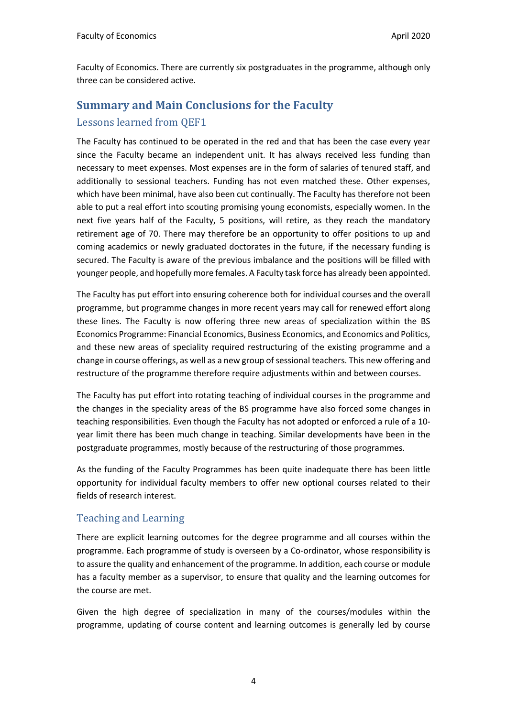Faculty of Economics. There are currently six postgraduates in the programme, although only three can be considered active.

# **Summary and Main Conclusions for the Faculty** Lessons learned from OEF1

The Faculty has continued to be operated in the red and that has been the case every year since the Faculty became an independent unit. It has always received less funding than necessary to meet expenses. Most expenses are in the form of salaries of tenured staff, and additionally to sessional teachers. Funding has not even matched these. Other expenses, which have been minimal, have also been cut continually. The Faculty has therefore not been able to put a real effort into scouting promising young economists, especially women. In the next five years half of the Faculty, 5 positions, will retire, as they reach the mandatory retirement age of 70. There may therefore be an opportunity to offer positions to up and coming academics or newly graduated doctorates in the future, if the necessary funding is secured. The Faculty is aware of the previous imbalance and the positions will be filled with younger people, and hopefully more females. A Faculty task force has already been appointed.

The Faculty has put effort into ensuring coherence both for individual courses and the overall programme, but programme changes in more recent years may call for renewed effort along these lines. The Faculty is now offering three new areas of specialization within the BS Economics Programme: Financial Economics, Business Economics, and Economics and Politics, and these new areas of speciality required restructuring of the existing programme and a change in course offerings, as well as a new group of sessional teachers. This new offering and restructure of the programme therefore require adjustments within and between courses.

The Faculty has put effort into rotating teaching of individual courses in the programme and the changes in the speciality areas of the BS programme have also forced some changes in teaching responsibilities. Even though the Faculty has not adopted or enforced a rule of a 10 year limit there has been much change in teaching. Similar developments have been in the postgraduate programmes, mostly because of the restructuring of those programmes.

As the funding of the Faculty Programmes has been quite inadequate there has been little opportunity for individual faculty members to offer new optional courses related to their fields of research interest.

#### Teaching and Learning

There are explicit learning outcomes for the degree programme and all courses within the programme. Each programme of study is overseen by a Co-ordinator, whose responsibility is to assure the quality and enhancement of the programme. In addition, each course or module has a faculty member as a supervisor, to ensure that quality and the learning outcomes for the course are met.

Given the high degree of specialization in many of the courses/modules within the programme, updating of course content and learning outcomes is generally led by course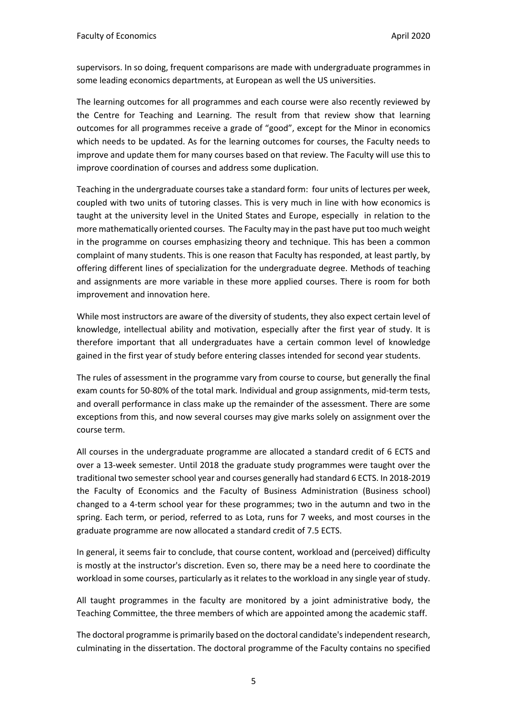supervisors. In so doing, frequent comparisons are made with undergraduate programmes in some leading economics departments, at European as well the US universities.

The learning outcomes for all programmes and each course were also recently reviewed by the Centre for Teaching and Learning. The result from that review show that learning outcomes for all programmes receive a grade of "good", except for the Minor in economics which needs to be updated. As for the learning outcomes for courses, the Faculty needs to improve and update them for many courses based on that review. The Faculty will use this to improve coordination of courses and address some duplication.

Teaching in the undergraduate courses take a standard form: four units of lectures per week, coupled with two units of tutoring classes. This is very much in line with how economics is taught at the university level in the United States and Europe, especially in relation to the more mathematically oriented courses. The Faculty may in the past have put too much weight in the programme on courses emphasizing theory and technique. This has been a common complaint of many students. This is one reason that Faculty has responded, at least partly, by offering different lines of specialization for the undergraduate degree. Methods of teaching and assignments are more variable in these more applied courses. There is room for both improvement and innovation here.

While most instructors are aware of the diversity of students, they also expect certain level of knowledge, intellectual ability and motivation, especially after the first year of study. It is therefore important that all undergraduates have a certain common level of knowledge gained in the first year of study before entering classes intended for second year students.

The rules of assessment in the programme vary from course to course, but generally the final exam counts for 50-80% of the total mark. Individual and group assignments, mid-term tests, and overall performance in class make up the remainder of the assessment. There are some exceptions from this, and now several courses may give marks solely on assignment over the course term.

All courses in the undergraduate programme are allocated a standard credit of 6 ECTS and over a 13-week semester. Until 2018 the graduate study programmes were taught over the traditional two semester school year and courses generally had standard 6 ECTS. In 2018-2019 the Faculty of Economics and the Faculty of Business Administration (Business school) changed to a 4-term school year for these programmes; two in the autumn and two in the spring. Each term, or period, referred to as Lota, runs for 7 weeks, and most courses in the graduate programme are now allocated a standard credit of 7.5 ECTS.

In general, it seems fair to conclude, that course content, workload and (perceived) difficulty is mostly at the instructor's discretion. Even so, there may be a need here to coordinate the workload in some courses, particularly as it relates to the workload in any single year of study.

All taught programmes in the faculty are monitored by a joint administrative body, the Teaching Committee, the three members of which are appointed among the academic staff.

The doctoral programme is primarily based on the doctoral candidate's independent research, culminating in the dissertation. The doctoral programme of the Faculty contains no specified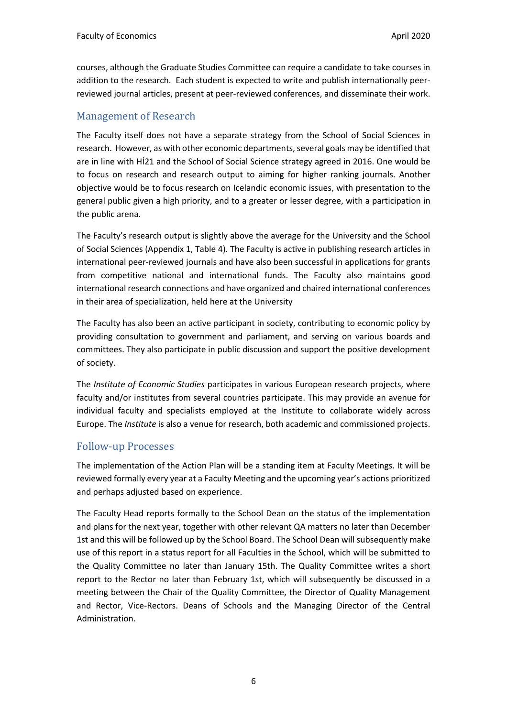courses, although the Graduate Studies Committee can require a candidate to take courses in addition to the research. Each student is expected to write and publish internationally peerreviewed journal articles, present at peer-reviewed conferences, and disseminate their work.

#### Management of Research

The Faculty itself does not have a separate strategy from the School of Social Sciences in research. However, as with other economic departments, several goals may be identified that are in line with HÍ21 and the School of Social Science strategy agreed in 2016. One would be to focus on research and research output to aiming for higher ranking journals. Another objective would be to focus research on Icelandic economic issues, with presentation to the general public given a high priority, and to a greater or lesser degree, with a participation in the public arena.

The Faculty's research output is slightly above the average for the University and the School of Social Sciences (Appendix 1, Table 4). The Faculty is active in publishing research articles in international peer-reviewed journals and have also been successful in applications for grants from competitive national and international funds. The Faculty also maintains good international research connections and have organized and chaired international conferences in their area of specialization, held here at the University

The Faculty has also been an active participant in society, contributing to economic policy by providing consultation to government and parliament, and serving on various boards and committees. They also participate in public discussion and support the positive development of society.

The *Institute of Economic Studies* participates in various European research projects, where faculty and/or institutes from several countries participate. This may provide an avenue for individual faculty and specialists employed at the Institute to collaborate widely across Europe. The *Institute* is also a venue for research, both academic and commissioned projects.

#### Follow-up Processes

The implementation of the Action Plan will be a standing item at Faculty Meetings. It will be reviewed formally every year at a Faculty Meeting and the upcoming year's actions prioritized and perhaps adjusted based on experience.

The Faculty Head reports formally to the School Dean on the status of the implementation and plans for the next year, together with other relevant QA matters no later than December 1st and this will be followed up by the School Board. The School Dean will subsequently make use of this report in a status report for all Faculties in the School, which will be submitted to the Quality Committee no later than January 15th. The Quality Committee writes a short report to the Rector no later than February 1st, which will subsequently be discussed in a meeting between the Chair of the Quality Committee, the Director of Quality Management and Rector, Vice-Rectors. Deans of Schools and the Managing Director of the Central Administration.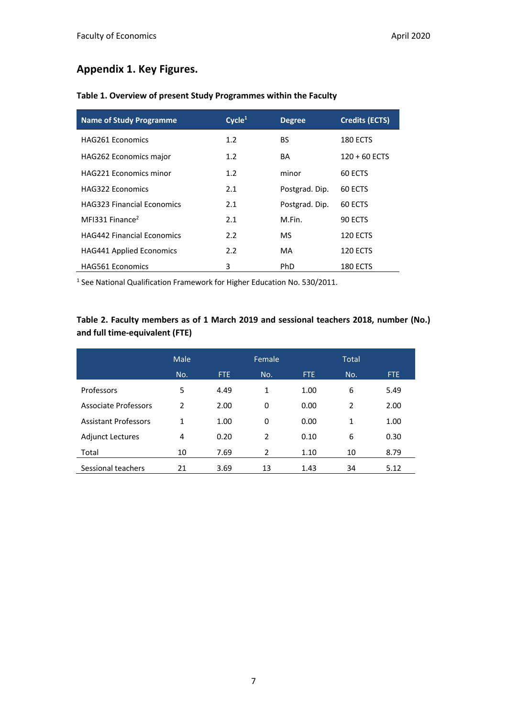### **Appendix 1. Key Figures.**

| <b>Name of Study Programme</b>    | Cycle <sup>1</sup> | <b>Degree</b>  | <b>Credits (ECTS)</b> |
|-----------------------------------|--------------------|----------------|-----------------------|
| <b>HAG261 Economics</b>           | 1.2 <sub>2</sub>   | BS.            | 180 ECTS              |
| <b>HAG262 Economics major</b>     | 1.2 <sub>2</sub>   | BA             | $120 + 60$ ECTS       |
| <b>HAG221 Economics minor</b>     | 1.2                | minor          | 60 ECTS               |
| HAG322 Economics                  | 2.1                | Postgrad. Dip. | 60 ECTS               |
| <b>HAG323 Financial Economics</b> | 2.1                | Postgrad. Dip. | 60 ECTS               |
| MFI331 Finance <sup>2</sup>       | 2.1                | M.Fin.         | 90 ECTS               |
| <b>HAG442 Financial Economics</b> | 2.2                | MS             | 120 ECTS              |
| <b>HAG441 Applied Economics</b>   | 2.2                | MA             | <b>120 ECTS</b>       |
| <b>HAG561 Economics</b>           | 3                  | PhD            | 180 ECTS              |

#### **Table 1. Overview of present Study Programmes within the Faculty**

<sup>1</sup> See National Qualification Framework for Higher Education No. 530/2011.

#### **Table 2. Faculty members as of 1 March 2019 and sessional teachers 2018, number (No.) and full time-equivalent (FTE)**

|                             | Male          |            | Female       |      | <b>Total</b> |      |
|-----------------------------|---------------|------------|--------------|------|--------------|------|
|                             | No.           | <b>FTE</b> | No.          | FTE. | No.          | FTE. |
| Professors                  | 5             | 4.49       | $\mathbf{1}$ | 1.00 | 6            | 5.49 |
| Associate Professors        | $\mathcal{P}$ | 2.00       | 0            | 0.00 | 2            | 2.00 |
| <b>Assistant Professors</b> | 1             | 1.00       | 0            | 0.00 | 1            | 1.00 |
| <b>Adjunct Lectures</b>     | 4             | 0.20       | 2            | 0.10 | 6            | 0.30 |
| Total                       | 10            | 7.69       | 2            | 1.10 | 10           | 8.79 |
| Sessional teachers          | 21            | 3.69       | 13           | 1.43 | 34           | 5.12 |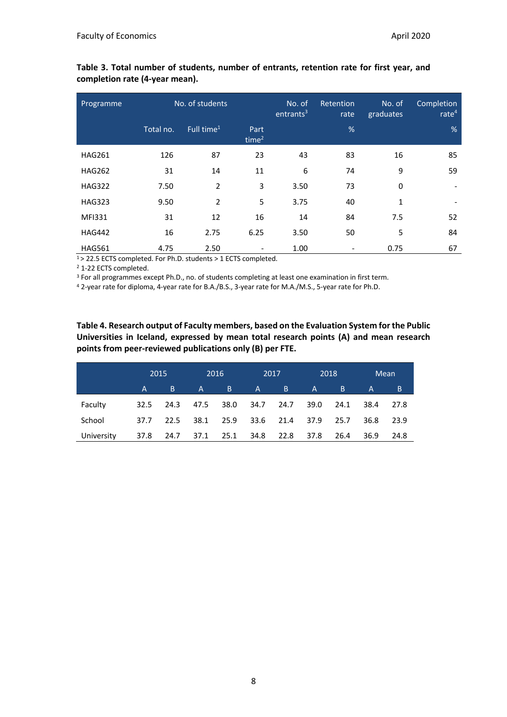| Programme     |           | No. of students        |                           | No. of<br>entrants <sup>3</sup> | Retention<br>rate | No. of<br>graduates | Completion<br>rate $4$ |
|---------------|-----------|------------------------|---------------------------|---------------------------------|-------------------|---------------------|------------------------|
|               | Total no. | Full time <sup>1</sup> | Part<br>time <sup>2</sup> |                                 | %                 |                     | %                      |
| <b>HAG261</b> | 126       | 87                     | 23                        | 43                              | 83                | 16                  | 85                     |
| <b>HAG262</b> | 31        | 14                     | 11                        | 6                               | 74                | 9                   | 59                     |
| <b>HAG322</b> | 7.50      | $\overline{2}$         | 3                         | 3.50                            | 73                | 0                   | $\blacksquare$         |
| <b>HAG323</b> | 9.50      | $\overline{2}$         | 5                         | 3.75                            | 40                | 1                   |                        |
| <b>MFI331</b> | 31        | 12                     | 16                        | 14                              | 84                | 7.5                 | 52                     |
| <b>HAG442</b> | 16        | 2.75                   | 6.25                      | 3.50                            | 50                | 5                   | 84                     |
| <b>HAG561</b> | 4.75      | 2.50                   |                           | 1.00                            |                   | 0.75                | 67                     |

**Table 3. Total number of students, number of entrants, retention rate for first year, and completion rate (4-year mean).**

1> 22.5 ECTS completed. For Ph.D. students > 1 ECTS completed.

<sup>2</sup> 1-22 ECTS completed.

<sup>3</sup> For all programmes except Ph.D., no. of students completing at least one examination in first term.

<sup>4</sup> 2-year rate for diploma, 4-year rate for B.A./B.S., 3-year rate for M.A./M.S., 5-year rate for Ph.D.

**Table 4. Research output of Faculty members, based on the Evaluation System for the Public Universities in Iceland, expressed by mean total research points (A) and mean research points from peer-reviewed publications only (B) per FTE.**

|            | 2015 |      |      | 2016 | 2017         |      |              | 2018 |              | <b>Mean</b> |
|------------|------|------|------|------|--------------|------|--------------|------|--------------|-------------|
|            | 'A i | 'B.  | A    | B.   | $\mathsf{A}$ | B    | $\mathsf{A}$ | B.   | $\mathsf{A}$ | B           |
| Faculty    | 32.5 | 24.3 | 47.5 | 38.0 | 34.7 24.7    |      | 39.0         | 24.1 | 38.4         | 27.8        |
| School     | 37.7 | 22.5 | 38.1 | 25.9 | 33.6         | 21.4 | 37.9         | 25.7 | 36.8         | 23.9        |
| University | 37.8 | 24.7 | 37.1 | 25.1 | 34.8         | 22.8 | 37.8         | 26.4 | 36.9         | 24.8        |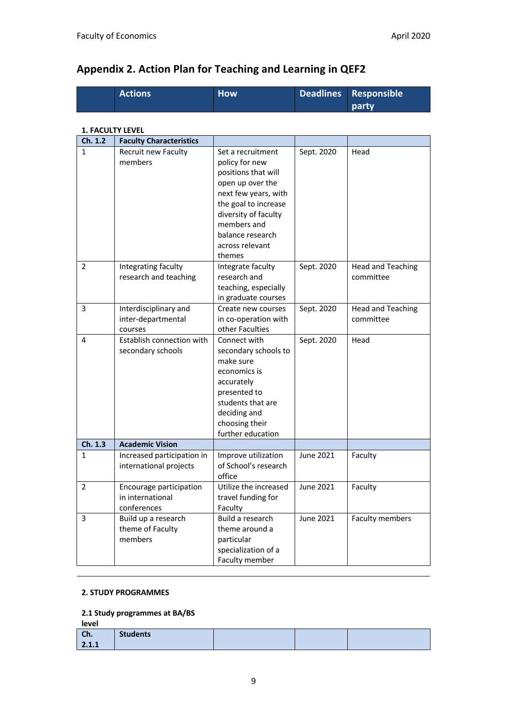|                         | <b>Actions</b>                                             | <b>How</b>                                                                                                                                                                                | <b>Deadlines</b> | Responsible                           |
|-------------------------|------------------------------------------------------------|-------------------------------------------------------------------------------------------------------------------------------------------------------------------------------------------|------------------|---------------------------------------|
|                         |                                                            |                                                                                                                                                                                           |                  | party                                 |
|                         |                                                            |                                                                                                                                                                                           |                  |                                       |
| <b>1. FACULTY LEVEL</b> |                                                            |                                                                                                                                                                                           |                  |                                       |
| Ch. 1.2                 | <b>Faculty Characteristics</b>                             |                                                                                                                                                                                           |                  |                                       |
| 1                       | Recruit new Faculty<br>members                             | Set a recruitment<br>policy for new<br>positions that will<br>open up over the<br>next few years, with<br>the goal to increase<br>diversity of faculty<br>members and<br>balance research | Sept. 2020       | Head                                  |
|                         |                                                            | across relevant                                                                                                                                                                           |                  |                                       |
| 2                       | Integrating faculty<br>research and teaching               | themes<br>Integrate faculty<br>research and<br>teaching, especially<br>in graduate courses                                                                                                | Sept. 2020       | <b>Head and Teaching</b><br>committee |
| 3                       | Interdisciplinary and<br>inter-departmental<br>courses     | Create new courses<br>in co-operation with<br>other Faculties                                                                                                                             | Sept. 2020       | <b>Head and Teaching</b><br>committee |
| 4                       | Establish connection with<br>secondary schools             | Connect with<br>secondary schools to<br>make sure<br>economics is<br>accurately<br>presented to<br>students that are<br>deciding and<br>choosing their<br>further education               | Sept. 2020       | Head                                  |
| Ch. 1.3                 | <b>Academic Vision</b>                                     |                                                                                                                                                                                           |                  |                                       |
| 1                       | Increased participation in<br>international projects       | Improve utilization<br>of School's research<br>office                                                                                                                                     | June 2021        | Faculty                               |
| $\overline{2}$          | Encourage participation<br>in international<br>conferences | Utilize the increased<br>travel funding for<br>Faculty                                                                                                                                    | June 2021        | Faculty                               |
| 3                       | Build up a research<br>theme of Faculty<br>members         | Build a research<br>theme around a<br>particular<br>specialization of a<br>Faculty member                                                                                                 | <b>June 2021</b> | Faculty members                       |

# **Appendix 2. Action Plan for Teaching and Learning in QEF2**

#### **2. STUDY PROGRAMMES**

#### **2.1 Study programmes at BA/BS**

| level        |                 |  |  |
|--------------|-----------------|--|--|
| Ch.<br>2.1.1 | <b>Students</b> |  |  |
|              |                 |  |  |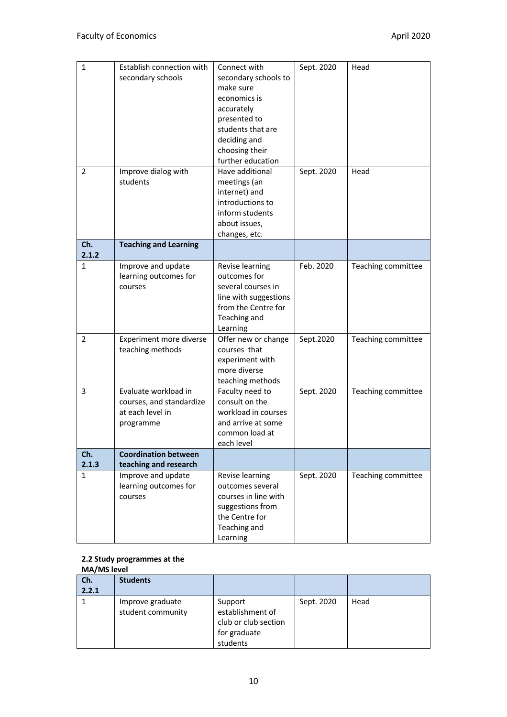| $\mathbf{1}$   | Establish connection with    | Connect with                    | Sept. 2020 | Head               |
|----------------|------------------------------|---------------------------------|------------|--------------------|
|                | secondary schools            | secondary schools to            |            |                    |
|                |                              | make sure                       |            |                    |
|                |                              | economics is                    |            |                    |
|                |                              | accurately                      |            |                    |
|                |                              | presented to                    |            |                    |
|                |                              | students that are               |            |                    |
|                |                              | deciding and                    |            |                    |
|                |                              | choosing their                  |            |                    |
|                |                              | further education               |            |                    |
| $\overline{2}$ | Improve dialog with          | Have additional                 | Sept. 2020 | Head               |
|                | students                     | meetings (an                    |            |                    |
|                |                              | internet) and                   |            |                    |
|                |                              | introductions to                |            |                    |
|                |                              | inform students                 |            |                    |
|                |                              | about issues,<br>changes, etc.  |            |                    |
| Ch.            | <b>Teaching and Learning</b> |                                 |            |                    |
| 2.1.2          |                              |                                 |            |                    |
| 1              | Improve and update           | Revise learning                 | Feb. 2020  | Teaching committee |
|                | learning outcomes for        | outcomes for                    |            |                    |
|                | courses                      | several courses in              |            |                    |
|                |                              | line with suggestions           |            |                    |
|                |                              | from the Centre for             |            |                    |
|                |                              | Teaching and                    |            |                    |
| $\overline{2}$ | Experiment more diverse      | Learning<br>Offer new or change | Sept.2020  | Teaching committee |
|                | teaching methods             | courses that                    |            |                    |
|                |                              | experiment with                 |            |                    |
|                |                              | more diverse                    |            |                    |
|                |                              | teaching methods                |            |                    |
| 3              | Evaluate workload in         | Faculty need to                 | Sept. 2020 | Teaching committee |
|                | courses, and standardize     | consult on the                  |            |                    |
|                | at each level in             | workload in courses             |            |                    |
|                | programme                    | and arrive at some              |            |                    |
|                |                              | common load at                  |            |                    |
|                |                              | each level                      |            |                    |
| Ch.            | <b>Coordination between</b>  |                                 |            |                    |
| 2.1.3          | teaching and research        |                                 |            |                    |
| 1              | Improve and update           | Revise learning                 | Sept. 2020 | Teaching committee |
|                | learning outcomes for        | outcomes several                |            |                    |
|                | courses                      | courses in line with            |            |                    |
|                |                              | suggestions from                |            |                    |
|                |                              | the Centre for                  |            |                    |
|                |                              | Teaching and                    |            |                    |
|                |                              | Learning                        |            |                    |

#### **2.2 Study programmes at the MA/MS level**

| Ch.   | <b>Students</b>                       |                                                                                 |            |      |
|-------|---------------------------------------|---------------------------------------------------------------------------------|------------|------|
| 2.2.1 |                                       |                                                                                 |            |      |
|       | Improve graduate<br>student community | Support<br>establishment of<br>club or club section<br>for graduate<br>students | Sept. 2020 | Head |